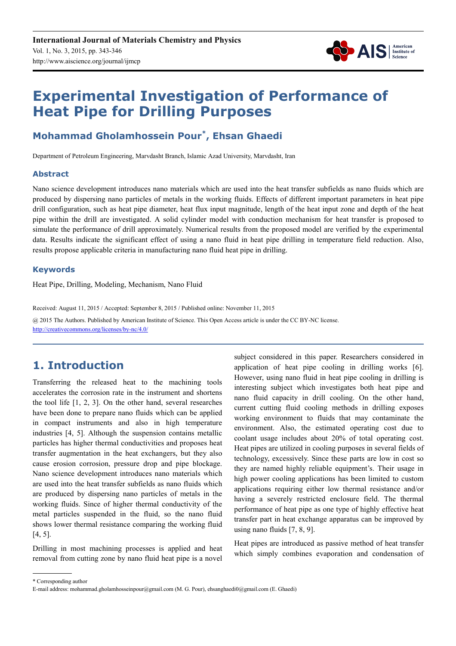

# **Experimental Investigation of Performance of Heat Pipe for Drilling Purposes**

# **Mohammad Gholamhossein Pour\* , Ehsan Ghaedi**

Department of Petroleum Engineering, Marvdasht Branch, Islamic Azad University, Marvdasht, Iran

### **Abstract**

Nano science development introduces nano materials which are used into the heat transfer subfields as nano fluids which are produced by dispersing nano particles of metals in the working fluids. Effects of different important parameters in heat pipe drill configuration, such as heat pipe diameter, heat flux input magnitude, length of the heat input zone and depth of the heat pipe within the drill are investigated. A solid cylinder model with conduction mechanism for heat transfer is proposed to simulate the performance of drill approximately. Numerical results from the proposed model are verified by the experimental data. Results indicate the significant effect of using a nano fluid in heat pipe drilling in temperature field reduction. Also, results propose applicable criteria in manufacturing nano fluid heat pipe in drilling.

### **Keywords**

Heat Pipe, Drilling, Modeling, Mechanism, Nano Fluid

Received: August 11, 2015 / Accepted: September 8, 2015 / Published online: November 11, 2015 @ 2015 The Authors. Published by American Institute of Science. This Open Access article is under the CC BY-NC license. http://creativecommons.org/licenses/by-nc/4.0/

# **1. Introduction**

Transferring the released heat to the machining tools accelerates the corrosion rate in the instrument and shortens the tool life [1, 2, 3]. On the other hand, several researches have been done to prepare nano fluids which can be applied in compact instruments and also in high temperature industries [4, 5]. Although the suspension contains metallic particles has higher thermal conductivities and proposes heat transfer augmentation in the heat exchangers, but they also cause erosion corrosion, pressure drop and pipe blockage. Nano science development introduces nano materials which are used into the heat transfer subfields as nano fluids which are produced by dispersing nano particles of metals in the working fluids. Since of higher thermal conductivity of the metal particles suspended in the fluid, so the nano fluid shows lower thermal resistance comparing the working fluid [4, 5].

Drilling in most machining processes is applied and heat removal from cutting zone by nano fluid heat pipe is a novel subject considered in this paper. Researchers considered in application of heat pipe cooling in drilling works [6]. However, using nano fluid in heat pipe cooling in drilling is interesting subject which investigates both heat pipe and nano fluid capacity in drill cooling. On the other hand, current cutting fluid cooling methods in drilling exposes working environment to fluids that may contaminate the environment. Also, the estimated operating cost due to coolant usage includes about 20% of total operating cost. Heat pipes are utilized in cooling purposes in several fields of technology, excessively. Since these parts are low in cost so they are named highly reliable equipment's. Their usage in high power cooling applications has been limited to custom applications requiring either low thermal resistance and/or having a severely restricted enclosure field. The thermal performance of heat pipe as one type of highly effective heat transfer part in heat exchange apparatus can be improved by using nano fluids [7, 8, 9].

Heat pipes are introduced as passive method of heat transfer which simply combines evaporation and condensation of

<sup>\*</sup> Corresponding author

E-mail address: mohammad.gholamhosseinpour@gmail.com (M. G. Pour), ehsanghaedi0@gmail.com (E. Ghaedi)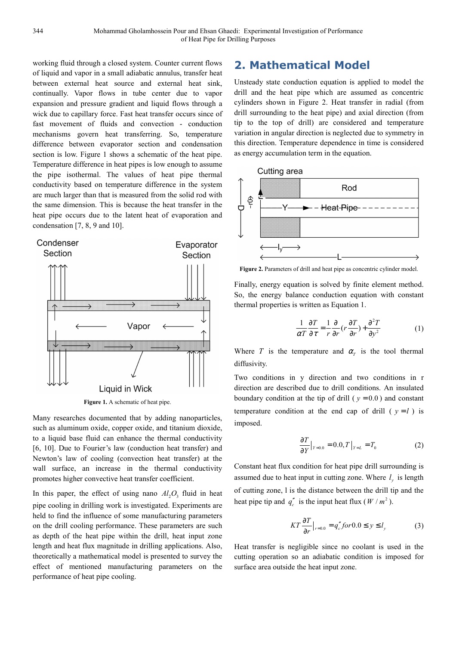working fluid through a closed system. Counter current flows of liquid and vapor in a small adiabatic annulus, transfer heat between external heat source and external heat sink, continually. Vapor flows in tube center due to vapor expansion and pressure gradient and liquid flows through a wick due to capillary force. Fast heat transfer occurs since of fast movement of fluids and convection - conduction mechanisms govern heat transferring. So, temperature difference between evaporator section and condensation section is low. Figure 1 shows a schematic of the heat pipe. Temperature difference in heat pipes is low enough to assume the pipe isothermal. The values of heat pipe thermal conductivity based on temperature difference in the system are much larger than that is measured from the solid rod with the same dimension. This is because the heat transfer in the heat pipe occurs due to the latent heat of evaporation and condensation [7, 8, 9 and 10].



Figure 1. A schematic of heat pipe.

Many researches documented that by adding nanoparticles, such as aluminum oxide, copper oxide, and titanium dioxide, to a liquid base fluid can enhance the thermal conductivity [6, 10]. Due to Fourier's law (conduction heat transfer) and Newton's law of cooling (convection heat transfer) at the wall surface, an increase in the thermal conductivity promotes higher convective heat transfer coefficient.

In this paper, the effect of using nano  $Al_2O_3$  fluid in heat pipe cooling in drilling work is investigated. Experiments are held to find the influence of some manufacturing parameters on the drill cooling performance. These parameters are such as depth of the heat pipe within the drill, heat input zone length and heat flux magnitude in drilling applications. Also, theoretically a mathematical model is presented to survey the effect of mentioned manufacturing parameters on the performance of heat pipe cooling.

## **2. Mathematical Model**

Unsteady state conduction equation is applied to model the drill and the heat pipe which are assumed as concentric cylinders shown in Figure 2. Heat transfer in radial (from drill surrounding to the heat pipe) and axial direction (from tip to the top of drill) are considered and temperature variation in angular direction is neglected due to symmetry in this direction. Temperature dependence in time is considered as energy accumulation term in the equation.



Figure 2. Parameters of drill and heat pipe as concentric cylinder model.

Finally, energy equation is solved by finite element method. So, the energy balance conduction equation with constant thermal properties is written as Equation 1.

$$
\frac{1}{\alpha T} \frac{\partial T}{\partial \tau} = \frac{1}{r} \frac{\partial}{\partial r} (r \frac{\partial T}{\partial r}) + \frac{\partial^2 T}{\partial y^2}
$$
(1)

Where *T* is the temperature and  $\alpha_T$  is the tool thermal diffusivity.

Two conditions in y direction and two conditions in r direction are described due to drill conditions. An insulated boundary condition at the tip of drill ( $y = 0.0$ ) and constant temperature condition at the end cap of drill ( $y = l$ ) is imposed.

$$
\frac{\partial T}{\partial Y}\big|_{Y=0.0} = 0.0, T\big|_{Y=L} = T_0 \tag{2}
$$

Constant heat flux condition for heat pipe drill surrounding is assumed due to heat input in cutting zone. Where  $l_y$  is length of cutting zone, l is the distance between the drill tip and the heat pipe tip and  $q''_c$  is the input heat flux ( $W/m^2$ ).

$$
KT\frac{\partial T}{\partial r}\Big|_{r=0.0} = q''_{c} \text{ for } 0.0 \le y \le l_{y}
$$
 (3)

Heat transfer is negligible since no coolant is used in the cutting operation so an adiabatic condition is imposed for surface area outside the heat input zone.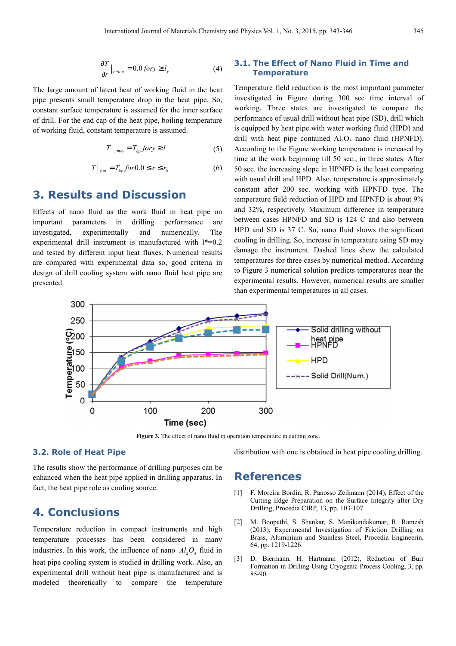$$
\frac{\partial T}{\partial r}\big|_{r=o.o} = 0.0 \text{ for } y \ge l_y \tag{4}
$$

The large amount of latent heat of working fluid in the heat pipe presents small temperature drop in the heat pipe. So, constant surface temperature is assumed for the inner surface of drill. For the end cap of the heat pipe, boiling temperature of working fluid, constant temperature is assumed.

$$
T|_{r=r_0} = T_{hp} \text{ for } y \ge l \tag{5}
$$

$$
T\Big|_{y=l} = T_{hp} \text{ for } 0.0 \le r \le r_0 \tag{6}
$$

### **3. Results and Discussion**

Effects of nano fluid as the work fluid in heat pipe on important parameters in drilling performance are investigated, experimentally and numerically. The experimental drill instrument is manufactured with  $l*=0.2$ and tested by different input heat fluxes. Numerical results are compared with experimental data so, good criteria in design of drill cooling system with nano fluid heat pipe are presented.

### **3.1. The Effect of Nano Fluid in Time and Temperature**

Temperature field reduction is the most important parameter investigated in Figure during 300 sec time interval of working. Three states are investigated to compare the performance of usual drill without heat pipe (SD), drill which is equipped by heat pipe with water working fluid (HPD) and drill with heat pipe contained  $Al_2O_3$  nano fluid (HPNFD). According to the Figure working temperature is increased by time at the work beginning till 50 sec., in three states. After 50 sec. the increasing slope in HPNFD is the least comparing with usual drill and HPD. Also, temperature is approximately constant after 200 sec. working with HPNFD type. The temperature field reduction of HPD and HPNFD is about 9% and 32%, respectively. Maximum difference in temperature between cases HPNFD and SD is 124 C and also between HPD and SD is 37 C. So, nano fluid shows the significant cooling in drilling. So, increase in temperature using SD may damage the instrument. Dashed lines show the calculated temperatures for three cases by numerical method. According to Figure 3 numerical solution predicts temperatures near the experimental results. However, numerical results are smaller than experimental temperatures in all cases.



**Figure 3.** The effect of nano fluid in operation temperature in cutting zone.

#### **3.2. Role of Heat Pipe**

The results show the performance of drilling purposes can be enhanced when the heat pipe applied in drilling apparatus. In fact, the heat pipe role as cooling source.

### **4. Conclusions**

Temperature reduction in compact instruments and high temperature processes has been considered in many industries. In this work, the influence of nano  $Al_2O_2$ , fluid in heat pipe cooling system is studied in drilling work. Also, an experimental drill without heat pipe is manufactured and is modeled theoretically to compare the temperature

distribution with one is obtained in heat pipe cooling drilling.

### **References**

- [1] F. Moreira Bordin, R. Panosso Zeilmann (2014), Effect of the Cutting Edge Preparation on the Surface Integrity after Dry Drilling, Procedia CIRP, 13, pp. 103-107.
- [2] M. Boopathi, S. Shankar, S. Manikandakumar, R. Ramesh (2013), Experimental Investigation of Friction Drilling on Brass, Aluminium and Stainless Steel, Procedia Engineerin, 64, pp. 1219-1226.
- [3] D. Biermann, H. Hartmann (2012), Reduction of Burr Formation in Drilling Using Cryogenic Process Cooling, 3, pp. 85-90.